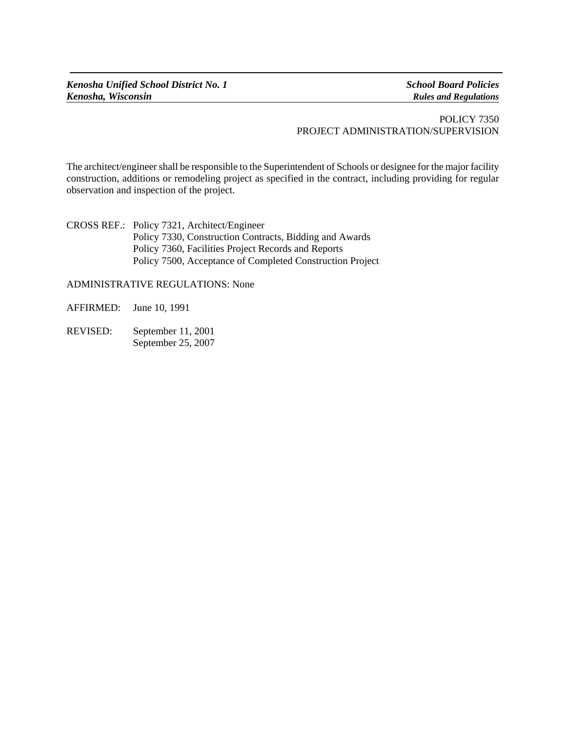## POLICY 7350 PROJECT ADMINISTRATION/SUPERVISION

The architect/engineer shall be responsible to the Superintendent of Schools or designee for the major facility construction, additions or remodeling project as specified in the contract, including providing for regular observation and inspection of the project.

CROSS REF.: Policy 7321, Architect/Engineer Policy 7330, Construction Contracts, Bidding and Awards Policy 7360, Facilities Project Records and Reports Policy 7500, Acceptance of Completed Construction Project

ADMINISTRATIVE REGULATIONS: None

AFFIRMED: June 10, 1991

REVISED: September 11, 2001 September 25, 2007